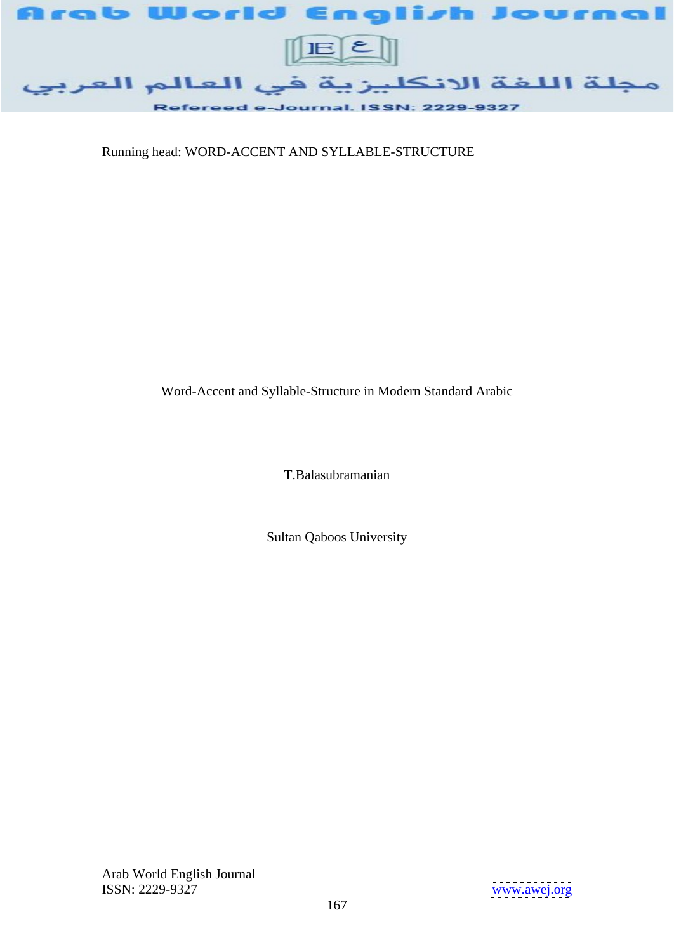

Running head: WORD-ACCENT AND SYLLABLE-STRUCTURE

Word-Accent and Syllable-Structure in Modern Standard Arabic

T.Balasubramanian

Sultan Qaboos University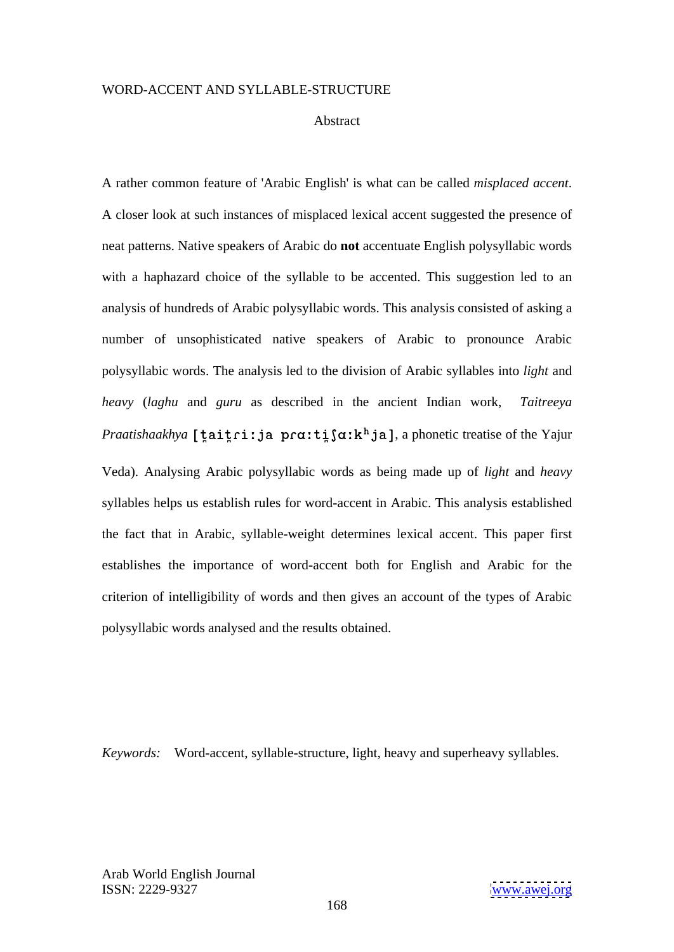### Abstract and the set of the set of the set of the set of the set of the set of the set of the set of the set of the set of the set of the set of the set of the set of the set of the set of the set of the set of the set of

A rather common feature of 'Arabic English' is what can be called *misplaced accent*. A closer look at such instances of misplaced lexical accent suggested the presence of neat patterns. Native speakers of Arabic do **not** accentuate English polysyllabic words with a haphazard choice of the syllable to be accented. This suggestion led to an analysis of hundreds of Arabic polysyllabic words. This analysis consisted of asking a number of unsophisticated native speakers of Arabic to pronounce Arabic polysyllabic words. The analysis led to the division of Arabic syllables into *light* and *heavy* (*laghu* and *guru* as described in the ancient Indian work, *Taitreeya Praatishaakhya* [taitri:ja pr $a$ :ti $a$ :k<sup>h</sup>ja], a phonetic treatise of the Yajur Veda). Analysing Arabic polysyllabic words as being made up of *light* and *heavy* syllables helps us establish rules for word-accent in Arabic. This analysis established the fact that in Arabic, syllable-weight determines lexical accent. This paper first establishes the importance of word-accent both for English and Arabic for the criterion of intelligibility of words and then gives an account of the types of Arabic polysyllabic words analysed and the results obtained.

 *Keywords:*Word-accent, syllable-structure, light, heavy and superheavy syllables.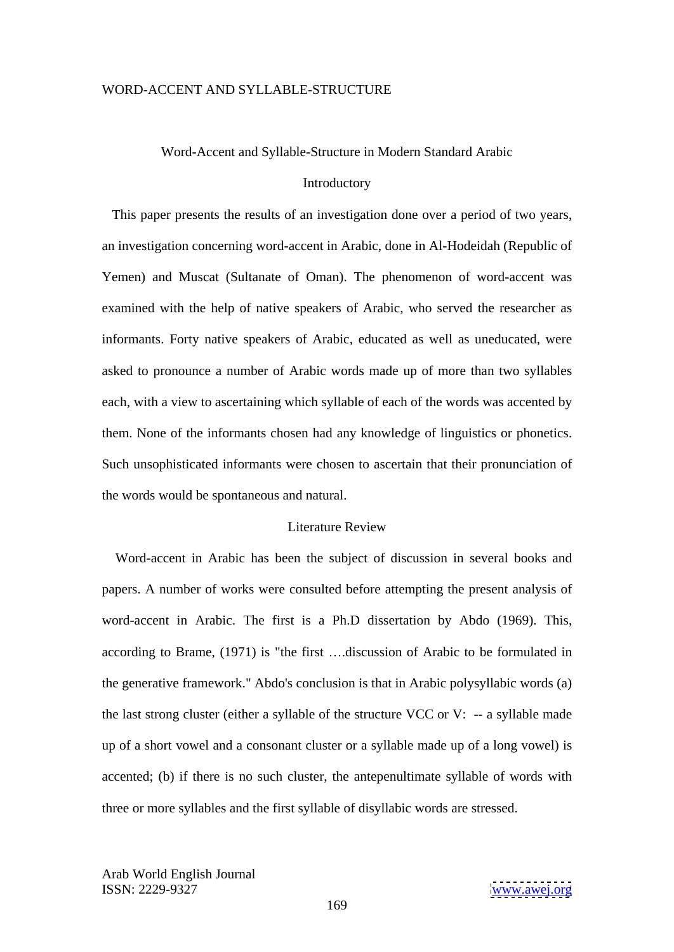#### Word-Accent and Syllable-Structure in Modern Standard Arabic

#### Introductory **Executive Services**

 This paper presents the results of an investigation done over a period of two years, an investigation concerning word-accent in Arabic, done in Al-Hodeidah (Republic of Yemen) and Muscat (Sultanate of Oman). The phenomenon of word-accent was examined with the help of native speakers of Arabic, who served the researcher as informants. Forty native speakers of Arabic, educated as well as uneducated, were asked to pronounce a number of Arabic words made up of more than two syllables each, with a view to ascertaining which syllable of each of the words was accented by them. None of the informants chosen had any knowledge of linguistics or phonetics. Such unsophisticated informants were chosen to ascertain that their pronunciation of the words would be spontaneous and natural.

#### Literature Review **Exercise 2018**

 Word-accent in Arabic has been the subject of discussion in several books and papers. A number of works were consulted before attempting the present analysis of word-accent in Arabic. The first is a Ph.D dissertation by Abdo (1969). This, according to Brame, (1971) is "the first ....discussion of Arabic to be formulated in the generative framework." Abdo's conclusion is that in Arabic polysyllabic words (a) the last strong cluster (either a syllable of the structure VCC or V: -- a syllable made up of a short vowel and a consonant cluster or a syllable made up of a long vowel) is accented; (b) if there is no such cluster, the antepenultimate syllable of words with three or more syllables and the first syllable of disyllabic words are stressed.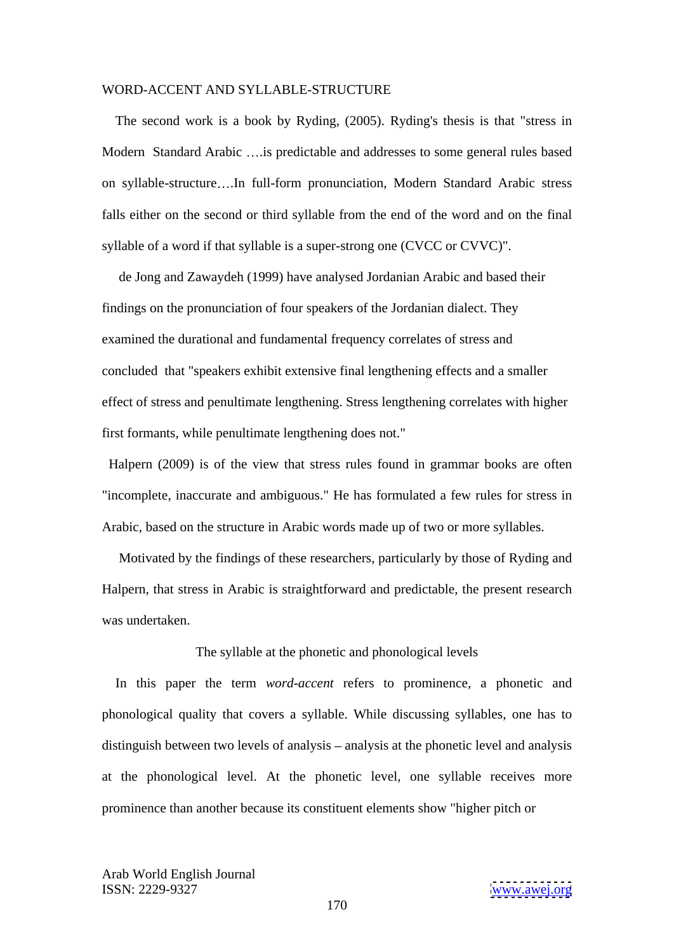The second work is a book by Ryding, (2005). Ryding's thesis is that "stress in Modern Standard Arabic ....is predictable and addresses to some general rules based on syllable-structure .In full-form pronunciation, Modern Standard Arabic stress falls either on the second or third syllable from the end of the word and on the final syllable of a word if that syllable is a super-strong one (CVCC or CVVC)".

 de Jong and Zawaydeh (1999) have analysed Jordanian Arabic and based their findings on the pronunciation of four speakers of the Jordanian dialect. They examined the durational and fundamental frequency correlates of stress and concluded that "speakers exhibit extensive final lengthening effects and a smaller effect of stress and penultimate lengthening. Stress lengthening correlates with higher first formants, while penultimate lengthening does not."

Halpern (2009) is of the view that stress rules found in grammar books are often "incomplete, inaccurate and ambiguous." He has formulated a few rules for stress in Arabic, based on the structure in Arabic words made up of two or more syllables.

 Motivated by the findings of these researchers, particularly by those of Ryding and Halpern, that stress in Arabic is straightforward and predictable, the present research was undertaken.

The syllable at the phonetic and phonological levels

 In this paper the term *word-accent* refers to prominence, a phonetic and phonological quality that covers a syllable. While discussing syllables, one has to distinguish between two levels of analysis – analysis at the phonetic level and analysis at the phonological level. At the phonetic level, one syllable receives more prominence than another because its constituent elements show "higher pitch or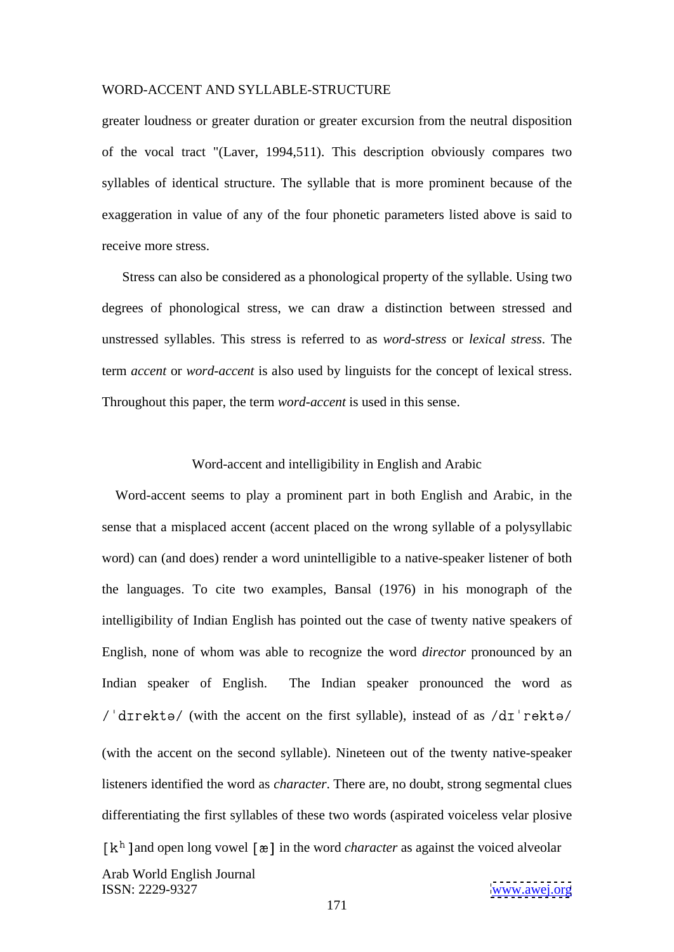greater loudness or greater duration or greater excursion from the neutral disposition of the vocal tract "(Laver, 1994,511). This description obviously compares two syllables of identical structure. The syllable that is more prominent because of the exaggeration in value of any of the four phonetic parameters listed above is said to receive more stress.

 Stress can also be considered as a phonological property of the syllable. Using two degrees of phonological stress, we can draw a distinction between stressed and unstressed syllables. This stress is referred to as *word-stress* or *lexical stress*. The term *accent* or *word-accent* is also used by linguists for the concept of lexical stress. Throughout this paper, the term *word-accent* is used in this sense.

## Word-accent and intelligibility in English and Arabic

Arab World English Journal ISSN: 2229-9327 [www.awej.org](http://www.awej.org) Word-accent seems to play a prominent part in both English and Arabic, in the sense that a misplaced accent (accent placed on the wrong syllable of a polysyllabic word) can (and does) render a word unintelligible to a native-speaker listener of both the languages. To cite two examples, Bansal (1976) in his monograph of the intelligibility of Indian English has pointed out the case of twenty native speakers of English, none of whom was able to recognize the word *director* pronounced by an Indian speaker of English. The Indian speaker pronounced the word as  $\ell$  direkte/ (with the accent on the first syllable), instead of as  $\frac{d\tau}{dt}$  rekte/ (with the accent on the second syllable). Nineteen out of the twenty native-speaker listeners identified the word as *character*. There are, no doubt, strong segmental clues differentiating the first syllables of these two words (aspirated voiceless velar plosive  $\lceil k^h \rceil$  and open long vowel  $\lceil x \rceil$  in the word *character* as against the voiced alveolar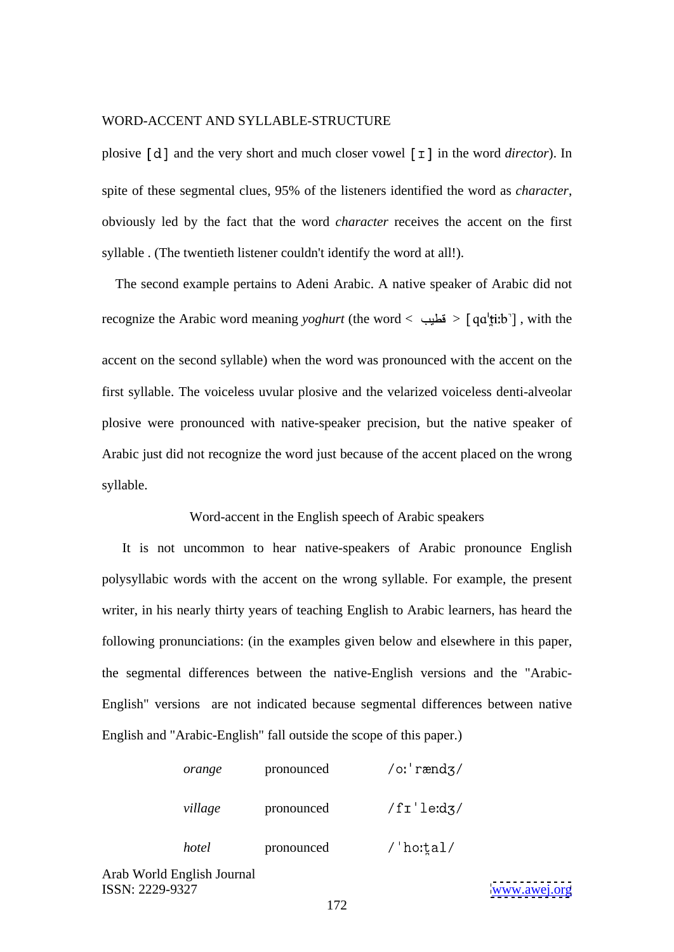plosive  $[d]$  and the very short and much closer vowel  $\lceil \tau \rceil$  in the word *director*). In spite of these segmental clues, 95% of the listeners identified the word as *character*, obviously led by the fact that the word *character* receives the accent on the first syllable . (The twentieth listener couldn't identify the word at all!).

The second example pertains to Adeni Arabic. A native speaker of Arabic did not recognize the Arabic word meaning *yoghurt* (the word  $\langle$  in  $\rangle$  and  $\langle$  in  $\rangle$  and  $\langle$  itib<sup>-</sup> $\rangle$ , with the accent on the second syllable) when the word was pronounced with the accent on the first syllable. The voiceless uvular plosive and the velarized voiceless denti-alveolar plosive were pronounced with native-speaker precision, but the native speaker of Arabic just did not recognize the word just because of the accent placed on the wrong syllable. The syllable state of the syllable syllable.

#### Word-accent in the English speech of Arabic speakers

 It is not uncommon to hear native-speakers of Arabic pronounce English polysyllabic words with the accent on the wrong syllable. For example, the present writer, in his nearly thirty years of teaching English to Arabic learners, has heard the following pronunciations: (in the examples given below and elsewhere in this paper, the segmental differences between the native-English versions and the "Arabic- English" versions are not indicated because segmental differencesbetween native English and "Arabic-English" fall outside the scope of this paper.)

| orange  | pronounced | /oːˈrændʒ/ |
|---------|------------|------------|
| village | pronounced | /fr'led3/  |
| hotel   | pronounced | ''hoːt̪al/ |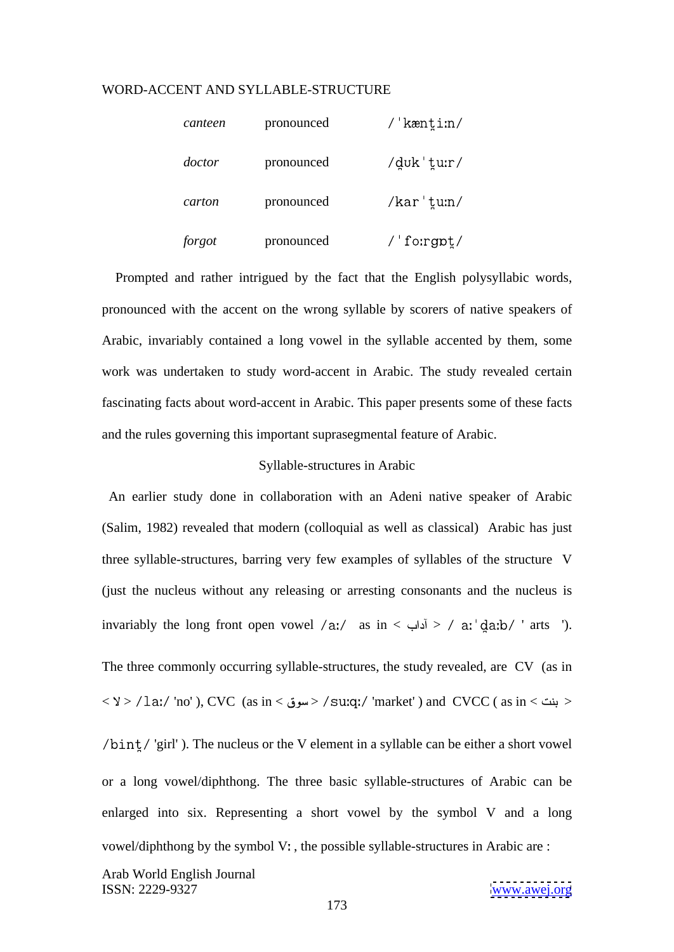| canteen | pronounced | kænti:n/               |
|---------|------------|------------------------|
| doctor  | pronounced | /duk 'tur/             |
| carton  | pronounced | $\frac{1}{2}$ kar'tun/ |
| forgot  | pronounced | fo:rgpt/               |

 Prompted and rather intrigued by the fact that the English polysyllabic words, pronounced with the accent on the wrong syllable by scorers of native speakers of Arabic, invariably contained a long vowel in the syllable accented by them, some work was undertaken to study word-accent in Arabic. The study revealed certain fascinating facts about word-accent in Arabic. This paper presents some of these facts and the rules governing this important suprasegmental feature of Arabic.

#### Syllable-structures in Arabic

An earlier study done in collaboration with an Adeni native speaker of Arabic (Salim, 1982) revealed that modern (colloquial as well as classical) Arabic has just three syllable-structures, barring very few examples of syllables of the structure V (just the nucleus without any releasing or arresting consonants and the nucleus is invariably the long front open vowel /a:/ as in < أداب > / a: da:b/ ' arts '). The three commonly occurring syllable-structures, the study revealed, are CV (as in  $\langle 2 \rangle$  / 1a:/ 'no' ), CVC (as in  $\langle 2 \rangle$  / su:q:/ 'market' ) and CVCC ( as in  $\langle 2 \rangle$  /  $\langle 2 \rangle$  $\sin t / \sqrt{\frac{1}{2}}$ . The nucleus or the V element in a syllable can be either a short vowel or a long vowel/diphthong. The three basic syllable-structures of Arabic can be enlarged into six. Representing a short vowel by the symbol V and a long vowel/diphthong by the symbol V:, the possible syllable-structures in Arabic are :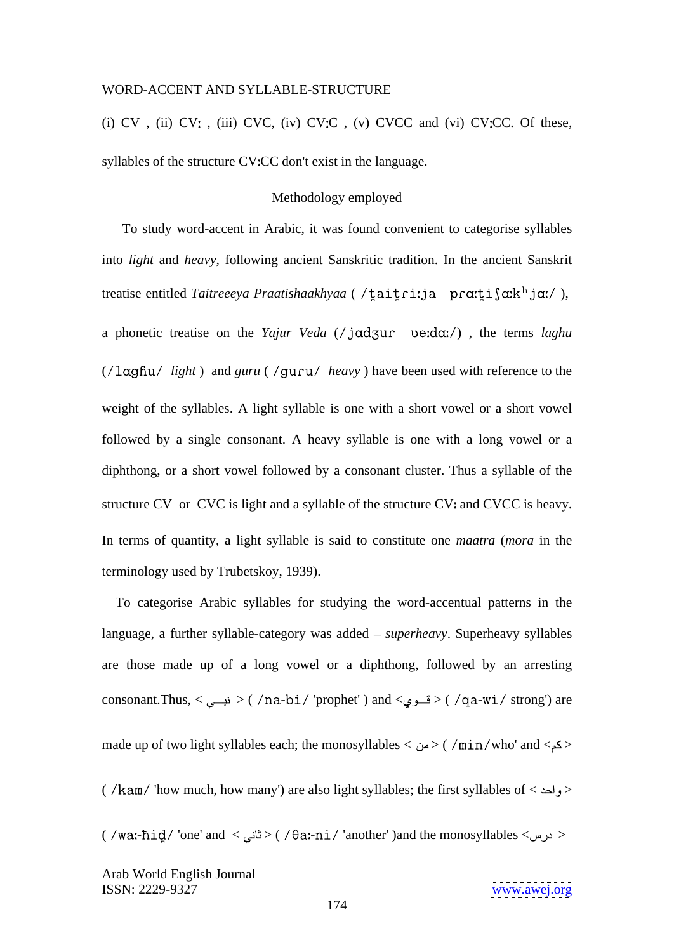(i)  $CV$ , (ii)  $CV$ ; (iii)  $CVC$ , (iv)  $CVC$ , (v)  $CVCC$  and (vi)  $CVC$ . Of these, syllables of the structure CV:CC don't exist in the language.

#### Methodology employed

 To study word-accent in Arabic, it was found convenient to categorise syllables into *light* and *heavy*, following ancient Sanskritic tradition. In the ancient Sanskrit treatise entitled *Taitreeeya Praatishaakhyaa* (/taitri:ja pra:tisakhja:/), a phonetic treatise on the *Yajur Veda* (/ jadzur verda:/), the terms *laghu* ( *light* ) and *guru* ( *heavy* ) have been used with reference to the weight of the syllables. A light syllable is one with a short vowel or a short vowel followed by a single consonant. A heavy syllable is one with a long vowel or a diphthong, or a short vowel followed by a consonant cluster. Thus a syllable of the structure CV or CVC is light and a syllable of the structure CV; and CVCC is heavy. In terms of quantity, a light syllable is said to constitute one *maatra* (*mora* in the terminology used by Trubetskoy, 1939).

 To categorise Arabic syllables for studying the word-accentual patterns in the language, a further syllable-category was added – *superheavy*. Superheavy syllables are those made up of a long vowel or a diphthong, followed by an arresting consonant.Thus, < نبع $\langle$  / na-bi/ 'prophet' ) and < فسوي $>($  /qa-wi/ strong') are made up of two light syllables each; the monosyllables <  $\omega$ > ( /min/who' and <  $\epsilon$ ( /kam/ 'how much, how many') are also light syllables; the first syllables of  $\langle$  واحد $\rangle$ ( /waː-ħid̪/ 'one' and < ذرس> > ( /θaː-ni/ 'another' )and the monosyllables < درس>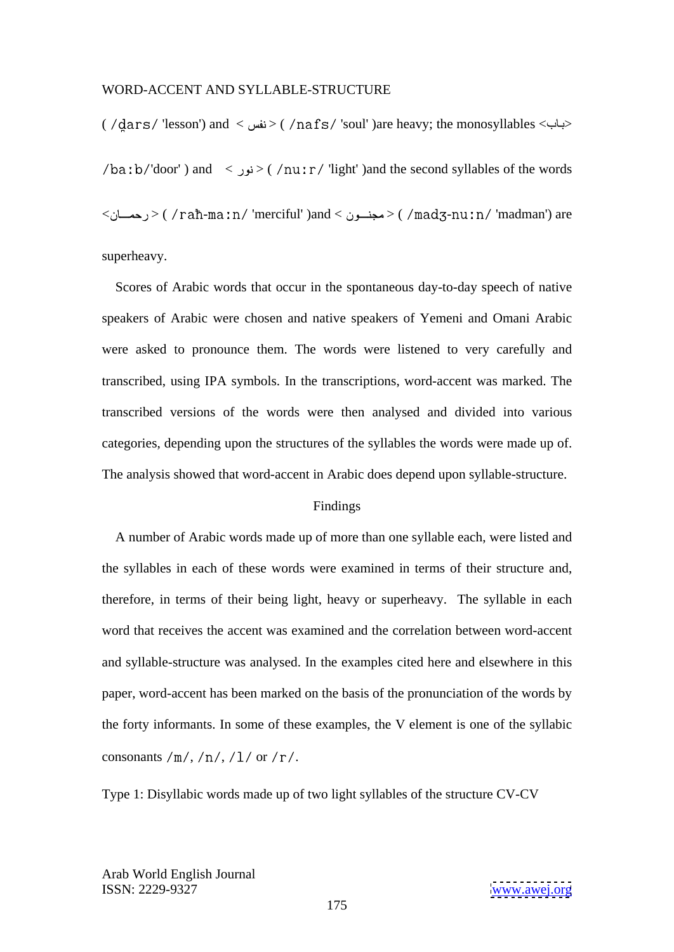( 'lesson') and < > ( 'soul' )are heavy; the monosyllables < >  $\lambda$ door') and <  $\epsilon$ iqht' )and the second syllables of the words < > ( - 'merciful' )and < > ( - 'madman') are superheavy.

 Scores of Arabic words that occur in the spontaneous day-to-day speech of native speakers of Arabic were chosen and native speakers of Yemeni and Omani Arabic were asked to pronounce them. The words were listened to very carefully and transcribed, using IPA symbols. In the transcriptions, word-accent was marked. The transcribed versions of the words were then analysed and divided into various categories, depending upon the structures of the syllables the words were made up of. The analysis showed that word-accent in Arabic does depend upon syllable-structure.

#### Findings and the set of the set of the set of the set of the set of the set of the set of the set of the set of the set of the set of the set of the set of the set of the set of the set of the set of the set of the set of

 A number of Arabic words made up of more than one syllable each, were listed and the syllables in each of these words were examined in terms of their structure and, therefore, in terms of their being light, heavy or superheavy. The syllable in each word that receives the accent was examined and the correlation between word-accent and syllable-structure was analysed. In the examples cited here and elsewhere in this paper, word-accent has been marked on the basis of the pronunciation of the words by the forty informants. In some of these examples, the V element is one of the syllabic consonants /m/, /n/, /1/ or /r/.

Type 1: Disyllabic words made up of two light syllables of the structure CV-CV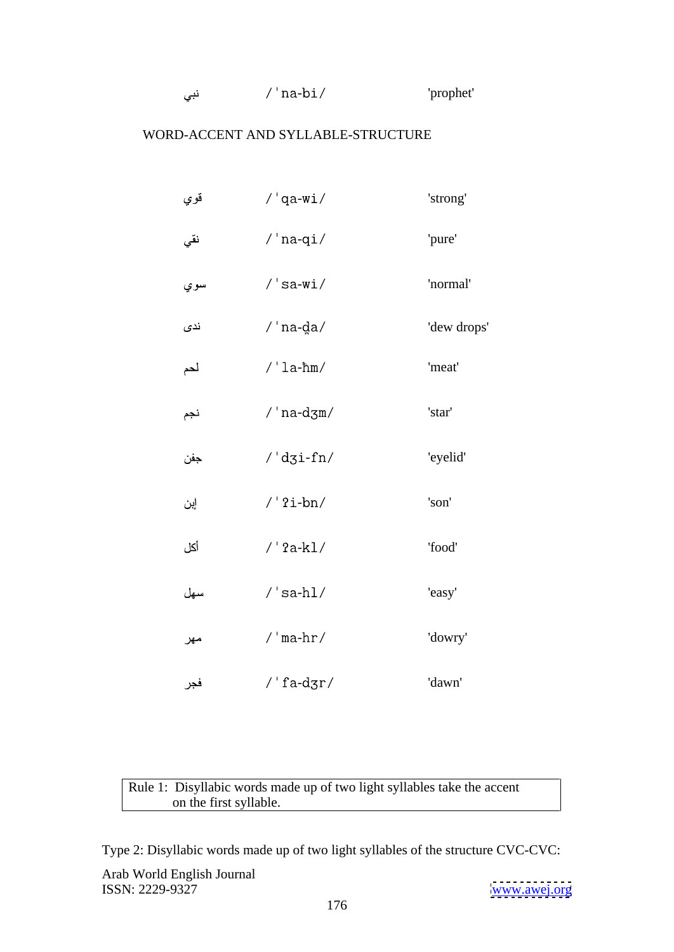| $\sim$<br>'prophet'<br>n -<br>-iia<br>ىبى<br>-∪⊥<br>the contract of the contract of the contract of the contract of the contract of the contract of the contract of |
|---------------------------------------------------------------------------------------------------------------------------------------------------------------------|
|---------------------------------------------------------------------------------------------------------------------------------------------------------------------|

| قوي | $/$ 'qa-wi $/$                                                          | 'strong'    |  |
|-----|-------------------------------------------------------------------------|-------------|--|
| نقي | $/$ 'na-qi $/$                                                          | 'pure'      |  |
| سوي | $/$ 'sa-wi $/$                                                          | 'normal'    |  |
| ندی | / 'na-d̪a/                                                              | 'dew drops' |  |
| لحم | $/$ 'la-ħm/                                                             | 'meat'      |  |
| نجم | /'na-d $\text{cm}/$                                                     | 'star'      |  |
| جفن | $/$ 'dzi-fn/                                                            | 'eyelid'    |  |
| إين | $/$ '?i-bn/                                                             | 'son'       |  |
| أكل | $/$ '?a-kl/                                                             | 'food'      |  |
| سهل | $/$ 'sa-hl $/$                                                          | 'easy'      |  |
| مهر | / $'mahr/$                                                              | 'dowry'     |  |
| فجر | $\text{/}$ ' fa-d $\text{gr}\text{/}$                                   | 'dawn'      |  |
|     |                                                                         |             |  |
|     |                                                                         |             |  |
|     | Rule 1: Disyllabic words made up of two light syllables take the accent |             |  |

on the first syllable.

Type 2: Disyllabic words made up of two light syllables of the structure CVC-CVC: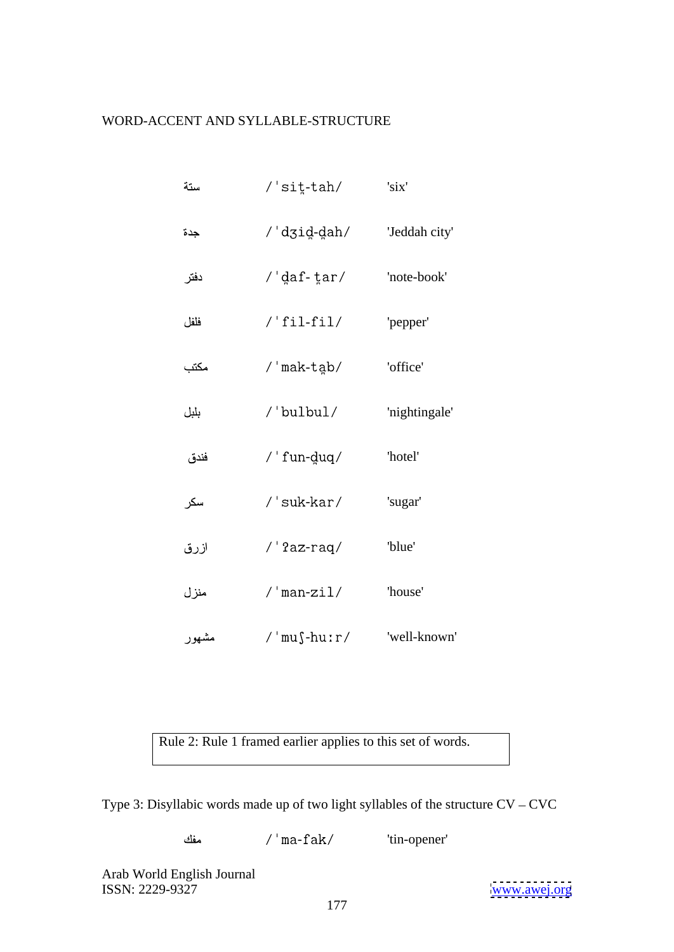| ستة   | $/$ 'sit-tah/           | 'six'         |
|-------|-------------------------|---------------|
| جدة   | /dʒid-dah/              | 'Jeddah city' |
| دفتر  | $/$ 'daf-tar/           | 'note-book'   |
| فلفل  | $/$ 'fil-fil/           | 'pepper'      |
| مكتب  | /'mak-tab/              | 'office'      |
| بلبل  | /'bulbul/ $\,$          | 'nightingale' |
| فندق  | $/$ ' fun-duq/          | 'hotel'       |
| سكر   | $/$ 'suk-kar $/$        | 'sugar'       |
| ازرق  | $/$ '?az-raq $/$        | 'blue'        |
| منزل  | $\mathbin{/}$ 'man-zil/ | 'house'       |
| مشهور | $/$ 'mu $\$ -huːr/      | 'well-known'  |

Rule 2: Rule 1 framed earlier applies to this set of words.

Type 3: Disyllabic words made up of two light syllables of the structure  $CV - CVC$ 

مفك -fak/ 'tin-opener'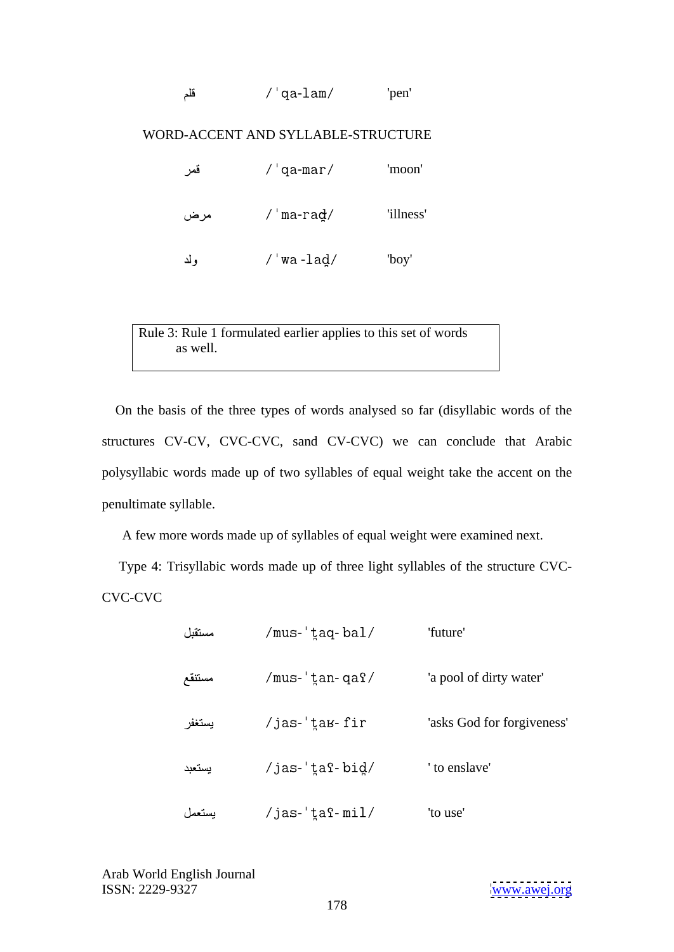|  | .<br>فلد | $\sim$<br>⊥am/<br>-ua- | 'pen |  |
|--|----------|------------------------|------|--|
|--|----------|------------------------|------|--|

| فمر | 'qa-mar/ | 'moon'    |  |
|-----|----------|-----------|--|
| مرض | 'ma-raḍ/ | 'illness' |  |
| ولد | 'wa-laḍ/ | 'boy'     |  |

Rule 3: Rule 1 formulated earlier applies to this set of words as well.

On the basis of the three types of words analysed so far (disyllabic words of the structures CV-CV, CVC-CVC, sand CV-CVC) we can conclude that Arabic polysyllabic words made up of two syllables of equal weight take the accent on the penultimate syllable.

A few more words made up of syllables of equal weight were examined next.

 Type 4: Trisyllabic words made up of three light syllables of the structure CVC- CVC-CVC

| مستقبل | /mus-'taq-bal/  | 'future'                   |  |
|--------|-----------------|----------------------------|--|
| مستنقع | /mus-'tan-qaf/  | 'a pool of dirty water'    |  |
| يستغفر | /jas-'tаь-fir   | 'asks God for forgiveness' |  |
| يستعبد | /jas-'taf-bid/  | ' to enslave'              |  |
| يستعمل | /jas-'t̪aˤ-mil/ | 'to use'                   |  |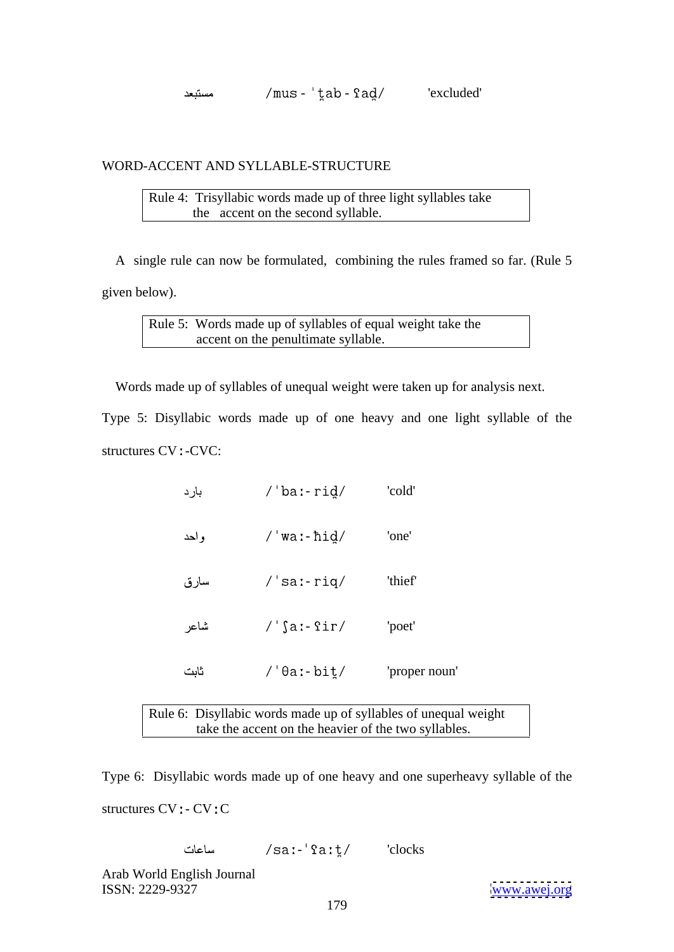- - 'excluded'

# WORD-ACCENT AND SYLLABLE-STRUCTURE

Rule 4: Trisyllabic words made up of three light syllables take the accent on the second syllable.

 A single rule can now be formulated, combining the rules framed so far. (Rule 5 given below).

Rule 5:Words made up of syllables of equal weight take the accent on the penultimate syllable.

Words made up of syllables of unequal weight were taken up for analysis next.

Type 5: Disyllabic words made up of one heavy and one light syllable of the structures CV : -CVC:

- rid / cold' and results are not contained by the set of the set of the set of the set of the set of the set o و أحد - 'one' سار ق -  $\text{riq}/\text{ }$  'thief' شاعر -  $\text{Sir} / \text{'}$  'poet' ثابت - 'proper noun'

Rule 6: Disyllabic words made up of syllables of unequal weight take the accent on the heavier of the two syllables.

Type 6: Disyllabic words made up of one heavy and one superheavy syllable of the structures  $CV: CV:C$ 

/sa:-'fa:t/ 'clocks ساعات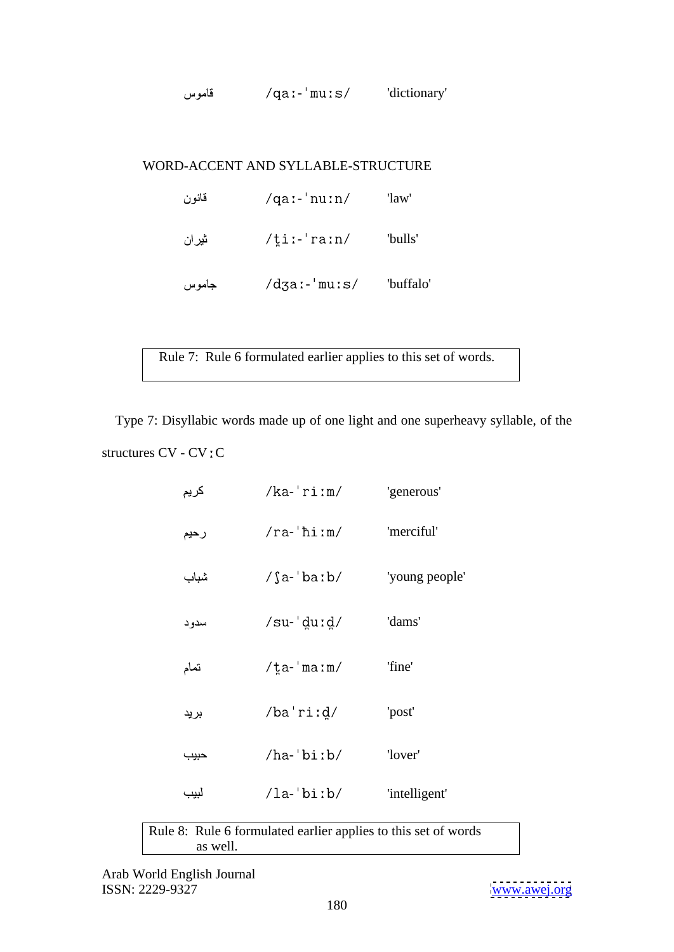|--|

| قانون | $\gamma$ qa:-'nu:n/      | 'law'     |  |
|-------|--------------------------|-----------|--|
| ثيران | $/\xi$ i:-'ra:n/         | 'bulls'   |  |
| جاموس | $\frac{d}{d}$ za:-'mu:s/ | 'buffalo' |  |

- 'buffalo' Rule 7:Rule 6 formulated earlier applies to this set of words.

 Type 7: Disyllabic words made up of one light and one superheavy syllable, of the structures  $CV$  -  $CV$  :  $C$ 

| كريم | $/ka$ -'ri:m/        | 'generous'     |  |
|------|----------------------|----------------|--|
| رحيم | $/ra$ -'hi:m/        | 'merciful'     |  |
| شباب | $/\$ a-'ba:b/        | 'young people' |  |
| سدود | $/su$ -'du:d/        | 'dams'         |  |
| تمام | $/\tan \theta$ ma:m/ | 'fine'         |  |
| برید | $/ba'r$ i: $d/$      | 'post'         |  |
| حبيب | $/ha$ -'bi:b/        | 'lover'        |  |
| لبيب | $\ln\frac{b}{b}$     | 'intelligent'  |  |

Rule 8:Rule 6 formulated earlier applies to this set of words as well.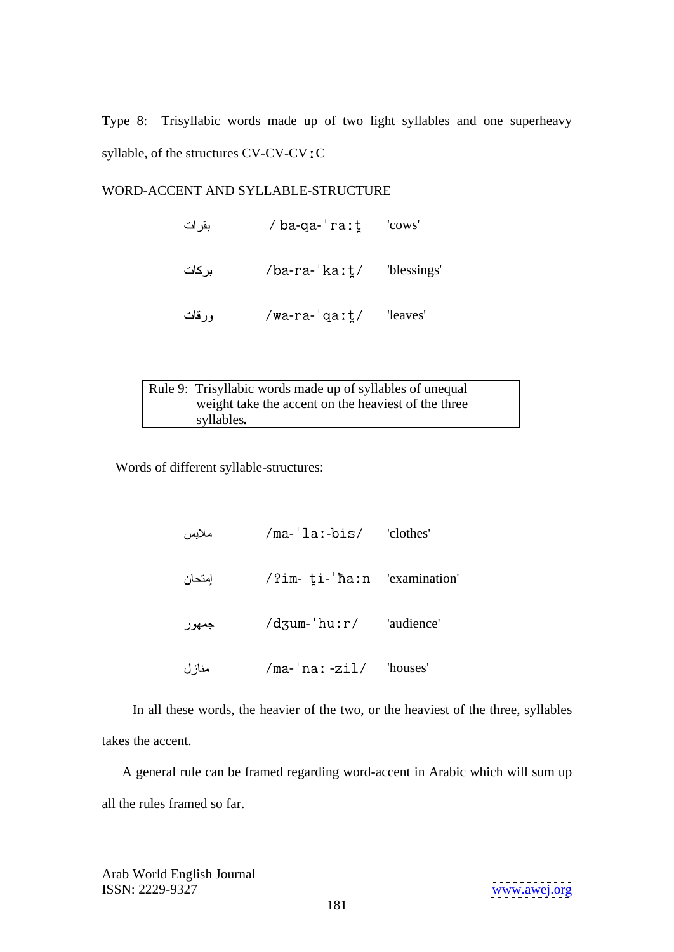Type 8: Trisyllabic words made up of two light syllables and one superheavy syllable, of the structures CV-CV-CV: C

# WORD-ACCENT AND SYLLABLE-STRUCTURE

| بقرات    | /ba-qa-'raːt̪                                                                                                                               | 'cows'                    |  |
|----------|---------------------------------------------------------------------------------------------------------------------------------------------|---------------------------|--|
| بركات    | /ba-ra-'ka:t/                                                                                                                               | 'blessings'               |  |
| $-16.12$ | $\frac{1}{2}$ $\frac{1}{2}$ $\frac{1}{2}$ $\frac{1}{2}$ $\frac{1}{2}$ $\frac{1}{2}$ $\frac{1}{2}$ $\frac{1}{2}$ $\frac{1}{2}$ $\frac{1}{2}$ | $T_{\text{A}2V\text{A}8}$ |  |

| ورقات      | /wa-ra-'qa: $t/$                                          | 'leaves' |  |  |
|------------|-----------------------------------------------------------|----------|--|--|
|            |                                                           |          |  |  |
|            |                                                           |          |  |  |
|            |                                                           |          |  |  |
|            | Rule 9: Trisyllabic words made up of syllables of unequal |          |  |  |
|            | weight take the accent on the heaviest of the three       |          |  |  |
| syllables. |                                                           |          |  |  |

Words of different syllable-structures:

| ملابس                | /ma-'laː-bis/                                                           | 'clothes'  |  |
|----------------------|-------------------------------------------------------------------------|------------|--|
| إمتحان               | /?im- ti-'ha:n 'examination'                                            |            |  |
| جمهور                | /dʒum-'huːr/                                                            | 'audience' |  |
| $\Delta$ is $\Delta$ | $\text{Im}$ $\text{Im}$ $\text{Im}$ $\text{Im}$ $\text{Im}$ $\text{Im}$ | "houses"   |  |

- 'ma-'na: -zil/ 'houses'<br>In all these words, the heavier of the two, or the heaviest of the three, syllables takes the accent.

 A general rule can be framed regarding word-accent in Arabic which will sum up all the rules framed so far.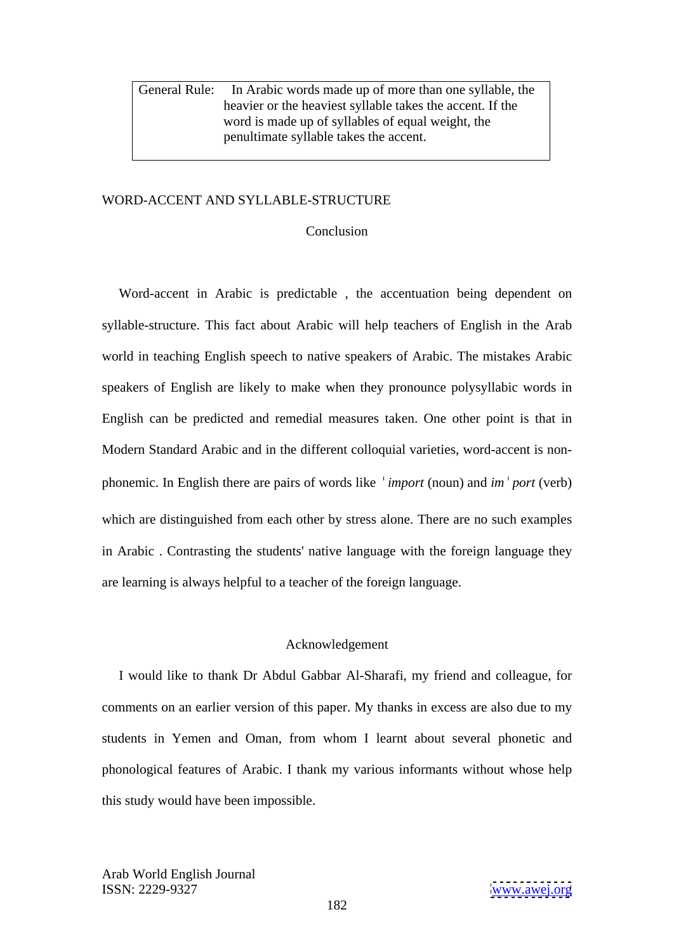General Rule: In Arabic words made up of more than one syllable, the heavier or the heaviest syllable takes the accent. If the word is made up of syllables of equal weight, the penultimate syllable takes the accent.

### WORD-ACCENT AND SYLLABLE-STRUCTURE

#### **Conclusion**

 Word-accent in Arabic is predictable , the accentuation being dependent on syllable-structure. This fact about Arabic will help teachers of English in the Arab world in teaching English speech to native speakers of Arabic. The mistakes Arabic speakers of English are likely to make when they pronounce polysyllabic words in English can be predicted and remedial measures taken. One other point is that in Modern Standard Arabic and in the different colloquial varieties, word-accent is non phonemic. In English there are pairs of words like *import* (noun) and *im port* (verb) which are distinguished from each other by stress alone. There are no such examples in Arabic . Contrasting the students' native language with the foreign language they are learning is always helpful to a teacher of the foreign language.

### Acknowledgement

 I would like to thank Dr Abdul Gabbar Al-Sharafi, my friend and colleague, for comments on an earlier version of this paper. My thanks in excess are also due to my students in Yemen and Oman, from whom I learnt about several phonetic and phonological features of Arabic. I thank my various informants without whose help this study would have been impossible.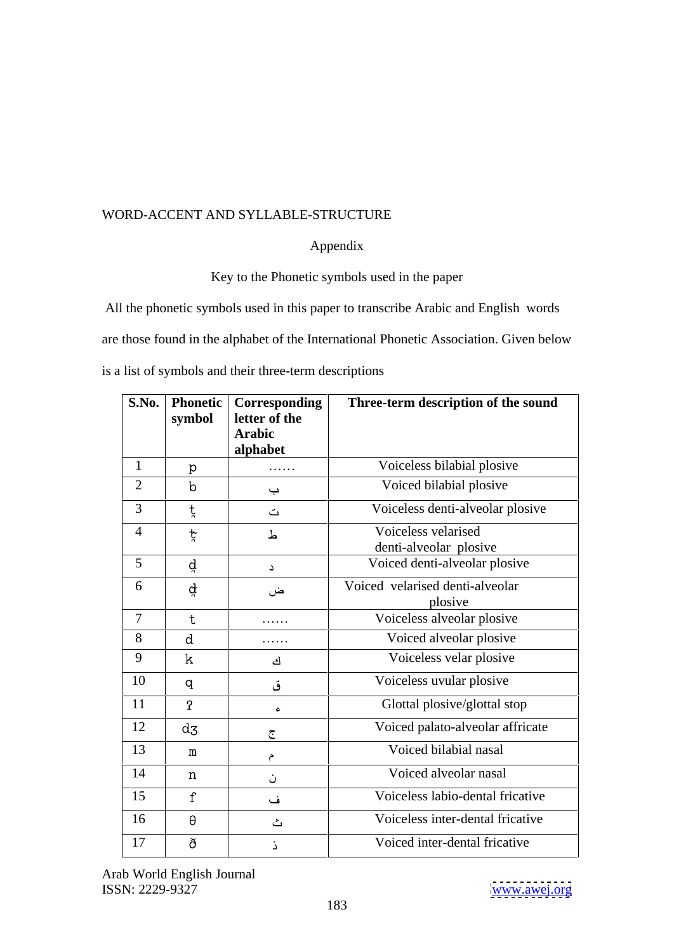## Appendix and the state of the state of the state of the state of the state of the state of the state of the state of the state of the state of the state of the state of the state of the state of the state of the state of t

Key to the Phonetic symbols used in the paper

All the phonetic symbols used in this paper to transcribe Arabic and English words are those found in the alphabet of the International Phonetic Association. Given below is a list of symbols and their three-term descriptions

|                 | symbol            | <b>S.No. Phonetic Corresponding</b><br>letter of the<br>Arabic | Three-term description of the sound           |
|-----------------|-------------------|----------------------------------------------------------------|-----------------------------------------------|
|                 |                   | alphabet                                                       |                                               |
|                 | $p_{\parallel}$   | $\cdots\cdots\cdots$                                           | Voiceless bilabial plosive                    |
| 2               | $\mathbf b$       | $\hookrightarrow$                                              | Voiced bilabial plosive                       |
| $\overline{3}$  |                   | $\triangle$                                                    | Voiceless denti-alveolar plosive              |
| $\overline{4}$  |                   | 上                                                              | Voiceless velarised<br>denti-alveolar plosive |
| $5\overline{)}$ | ď                 | $\Delta^-$                                                     | Voiced denti-alveolar plosive                 |
| 6               | ਕ੍ਰੇ              | ض                                                              | Voiced velarised denti-alveolar<br>plosive    |
| $\mathbf{\tau}$ |                   | $\cdots\cdots\cdots$                                           | Voiceless alveolar plosive                    |
| 8               | $\mathbf d$       | $\cdots \cdots \cdots$                                         | Voiced alveolar plosive                       |
| $\overline{9}$  | k                 | ك                                                              | Voiceless velar plosive                       |
| 10              | q                 | ق                                                              | Voiceless uvular plosive                      |
| 11              | ုဂ္               | $\epsilon$                                                     | Glottal plosive/glottal stop                  |
| 12              | $d_{\mathcal{Z}}$ | $\tilde{\mathbf{C}}$                                           | Voiced palato-alveolar affricate              |
| 13              | m                 |                                                                | Voiced bilabial nasal                         |
| 14              | n                 | ن                                                              | Voiced alveolar nasal                         |
| 15              |                   | ف                                                              | Voiceless labio-dental fricative              |
| 16              | $\theta$          | ا گ                                                            | Voiceless inter-dental fricative              |
| 17              | ð                 |                                                                | Voiced inter-dental fricative                 |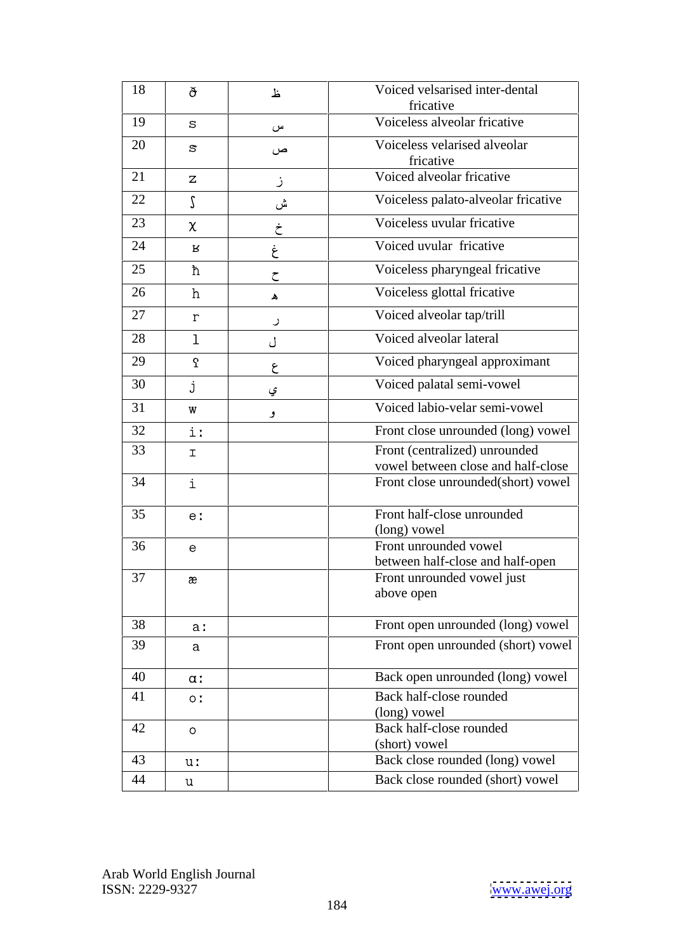| 18 | ð                                | 上             | Voiced velsarised inter-dental<br>fricative                         |
|----|----------------------------------|---------------|---------------------------------------------------------------------|
| 19 | $\mathbf{s}$                     | س             | Voiceless alveolar fricative                                        |
| 20 | $\mathbb S$                      | ص             | Voiceless velarised alveolar<br>fricative                           |
| 21 | $\mathsf{Z}$                     |               | Voiced alveolar fricative                                           |
| 22 |                                  | ش             | Voiceless palato-alveolar fricative                                 |
| 23 | $\chi$                           | ÷             | Voiceless uvular fricative                                          |
| 24 | $\mathbf R$                      |               | Voiced uvular fricative                                             |
| 25 | ħ                                | $\rightarrow$ | Voiceless pharyngeal fricative                                      |
| 26 | h                                | $\Delta$      | Voiceless glottal fricative                                         |
| 27 | $\mathbf{r}$                     |               | Voiced alveolar tap/trill                                           |
| 28 |                                  | $\cup$        | Voiced alveolar lateral                                             |
| 29 |                                  |               |                                                                     |
|    | $\mathbf 7$                      | $\epsilon$    | Voiced pharyngeal approximant                                       |
| 30 |                                  | ى             | Voiced palatal semi-vowel                                           |
| 31 | W                                |               | Voiced labio-velar semi-vowel                                       |
| 32 | $\mathbf{i}$ :                   |               | Front close unrounded (long) vowel                                  |
| 33 | $\mathbf T$                      |               | Front (centralized) unrounded<br>vowel between close and half-close |
| 34 | i                                |               | Front close unrounded(short) vowel                                  |
| 35 | e:                               |               | Front half-close unrounded                                          |
|    |                                  |               | (long) vowel<br>Front unrounded vowel                               |
| 36 | $\mathsf{e}$                     |               | between half-close and half-open                                    |
| 37 | $\rm \mathop{\textit{\text{æ}}}$ |               | Front unrounded vowel just                                          |
|    |                                  |               | above open                                                          |
| 38 | a:                               |               | Front open unrounded (long) vowel                                   |
| 39 | $\mathbf{a}$                     |               | Front open unrounded (short) vowel                                  |
| 40 | $\alpha$ :                       |               | Back open unrounded (long) vowel                                    |
| 41 | O <sub>1</sub>                   |               | Back half-close rounded                                             |
|    |                                  |               | (long) vowel                                                        |
| 42 | $\circ$                          |               | Back half-close rounded<br>(short) vowel                            |
| 43 | u:                               |               | Back close rounded (long) vowel                                     |
| 44 | u                                |               | Back close rounded (short) vowel                                    |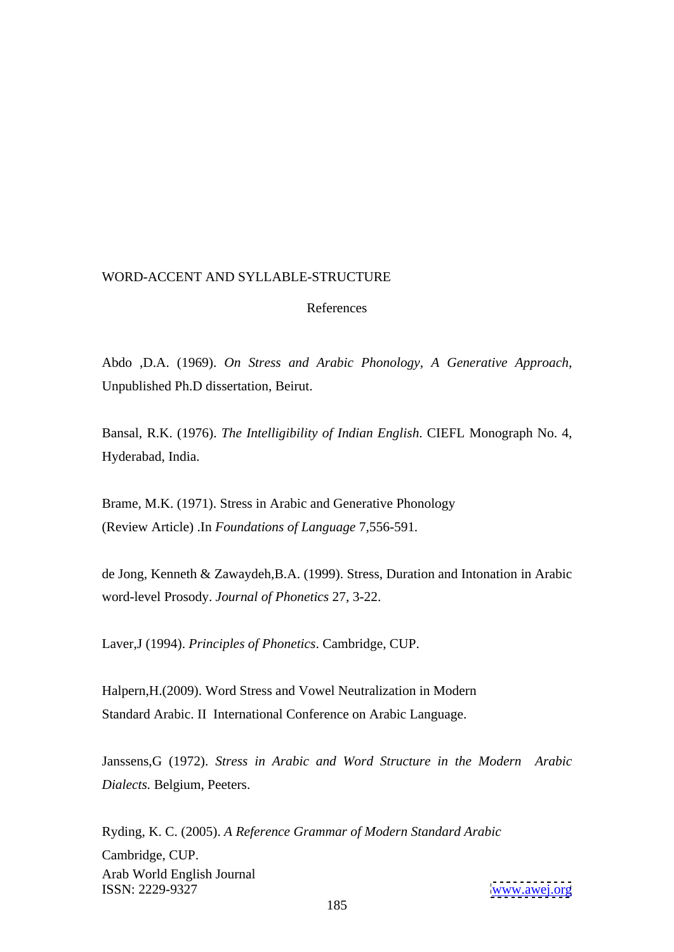## References and the state of the state of the state of the state of the state of the state of the state of the state of the state of the state of the state of the state of the state of the state of the state of the state of

Abdo ,D.A. (1969). *On Stress and Arabic Phonology, A Generative Approach,* Unpublished Ph.D dissertation, Beirut.

Bansal, R.K. (1976). *The Intelligibility of Indian English*. CIEFL Monograph No. 4, Hyderabad, India.

Brame, M.K. (1971). Stress in Arabic and Generative Phonology (Review Article) .In *Foundations of Language* 7,556-591*.*

de Jong, Kenneth & Zawaydeh,B.A. (1999). Stress, Duration and Intonation in Arabic word-level Prosody. *Journal of Phonetics* 27, 3-22.

Laver,J (1994). *Principles of Phonetics*. Cambridge, CUP.

Halpern,H.(2009). Word Stress and Vowel Neutralization in Modern Standard Arabic. II International Conference on Arabic Language.

Janssens,G (1972). *Stress in Arabic and Word Structure in the Modern Arabic Dialects.* Belgium, Peeters.

Arab World English Journal ISSN: 2229-9327 [www.awej.org](http://www.awej.org) Ryding, K. C. (2005). *A Reference Grammar of Modern Standard Arabic* Cambridge, CUP.